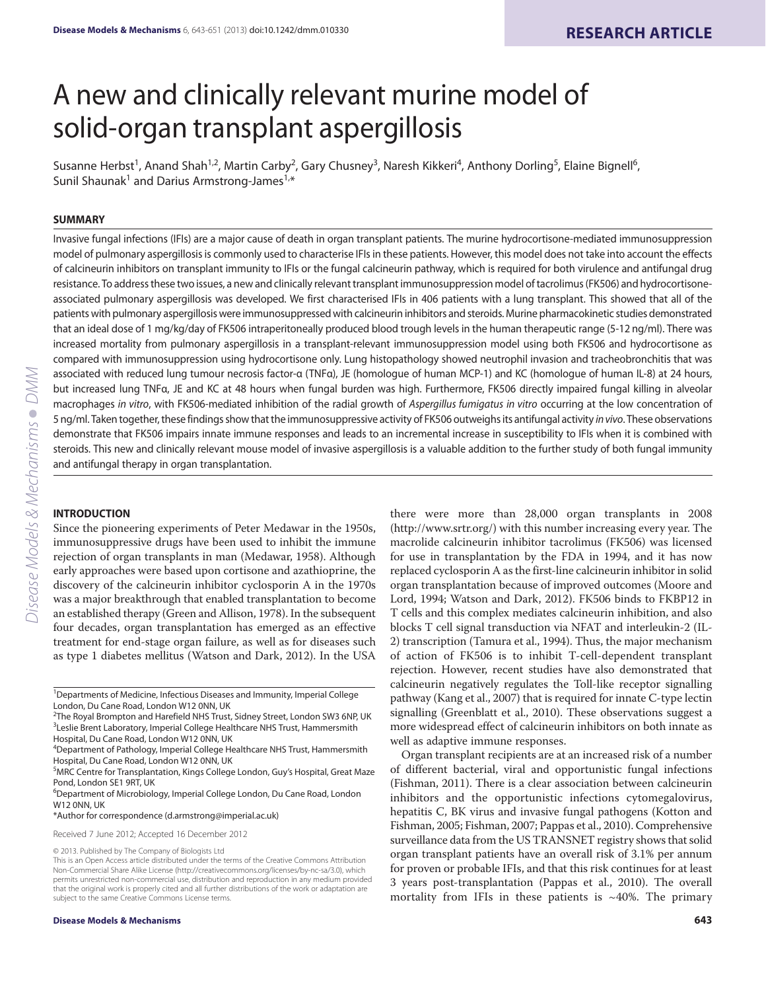# A new and clinically relevant murine model of solid-organ transplant aspergillosis

Susanne Herbst<sup>1</sup>, Anand Shah<sup>1,2</sup>, Martin Carby<sup>2</sup>, Gary Chusney<sup>3</sup>, Naresh Kikkeri<sup>4</sup>, Anthony Dorling<sup>5</sup>, Elaine Bignell<sup>6</sup>, Sunil Shaunak<sup>1</sup> and Darius Armstrong-James<sup>1,\*</sup>

#### **SUMMARY**

Invasive fungal infections (IFIs) are a major cause of death in organ transplant patients. The murine hydrocortisone-mediated immunosuppression model of pulmonary aspergillosis is commonly used to characterise IFIs in these patients. However, this model does not take into account the effects of calcineurin inhibitors on transplant immunity to IFIs or the fungal calcineurin pathway, which is required for both virulence and antifungal drug resistance. To address these two issues, a new and clinically relevant transplant immunosuppression model of tacrolimus (FK506) and hydrocortisoneassociated pulmonary aspergillosis was developed. We first characterised IFIs in 406 patients with a lung transplant. This showed that all of the patients with pulmonary aspergillosis were immunosuppressed with calcineurin inhibitors and steroids. Murine pharmacokinetic studies demonstrated that an ideal dose of 1 mg/kg/day of FK506 intraperitoneally produced blood trough levels in the human therapeutic range (5-12 ng/ml). There was increased mortality from pulmonary aspergillosis in a transplant-relevant immunosuppression model using both FK506 and hydrocortisone as compared with immunosuppression using hydrocortisone only. Lung histopathology showed neutrophil invasion and tracheobronchitis that was associated with reduced lung tumour necrosis factor-α (TNFα), JE (homologue of human MCP-1) and KC (homologue of human IL-8) at 24 hours, but increased lung TNFα, JE and KC at 48 hours when fungal burden was high. Furthermore, FK506 directly impaired fungal killing in alveolar macrophages in vitro, with FK506-mediated inhibition of the radial growth of Aspergillus fumigatus in vitro occurring at the low concentration of 5 ng/ml. Taken together, these findings show that the immunosuppressive activity of FK506 outweighs its antifungal activity in vivo. These observations demonstrate that FK506 impairs innate immune responses and leads to an incremental increase in susceptibility to IFIs when it is combined with steroids. This new and clinically relevant mouse model of invasive aspergillosis is a valuable addition to the further study of both fungal immunity and antifungal therapy in organ transplantation.

#### **INTRODUCTION**

Since the pioneering experiments of Peter Medawar in the 1950s, immunosuppressive drugs have been used to inhibit the immune rejection of organ transplants in man (Medawar, 1958). Although early approaches were based upon cortisone and azathioprine, the discovery of the calcineurin inhibitor cyclosporin A in the 1970s was a major breakthrough that enabled transplantation to become an established therapy (Green and Allison, 1978). In the subsequent four decades, organ transplantation has emerged as an effective treatment for end-stage organ failure, as well as for diseases such as type 1 diabetes mellitus (Watson and Dark, 2012). In the USA

#### \*Author for correspondence (d.armstrong@imperial.ac.uk)

Received 7 June 2012; Accepted 16 December 2012

there were more than 28,000 organ transplants in 2008 (http://www.srtr.org/) with this number increasing every year. The macrolide calcineurin inhibitor tacrolimus (FK506) was licensed for use in transplantation by the FDA in 1994, and it has now replaced cyclosporin A as the first-line calcineurin inhibitor in solid organ transplantation because of improved outcomes (Moore and Lord, 1994; Watson and Dark, 2012). FK506 binds to FKBP12 in T cells and this complex mediates calcineurin inhibition, and also blocks T cell signal transduction via NFAT and interleukin-2 (IL-2) transcription (Tamura et al., 1994). Thus, the major mechanism of action of FK506 is to inhibit T-cell-dependent transplant rejection. However, recent studies have also demonstrated that calcineurin negatively regulates the Toll-like receptor signalling pathway (Kang et al., 2007) that is required for innate C-type lectin signalling (Greenblatt et al., 2010). These observations suggest a more widespread effect of calcineurin inhibitors on both innate as well as adaptive immune responses.

Organ transplant recipients are at an increased risk of a number of different bacterial, viral and opportunistic fungal infections (Fishman, 2011). There is a clear association between calcineurin inhibitors and the opportunistic infections cytomegalovirus, hepatitis C, BK virus and invasive fungal pathogens (Kotton and Fishman, 2005; Fishman, 2007; Pappas et al., 2010). Comprehensive surveillance data from the US TRANSNET registry shows that solid organ transplant patients have an overall risk of 3.1% per annum for proven or probable IFIs, and that this risk continues for at least 3 years post-transplantation (Pappas et al., 2010). The overall mortality from IFIs in these patients is  $~10\%$ . The primary

<sup>&</sup>lt;sup>1</sup>Departments of Medicine, Infectious Diseases and Immunity, Imperial College London, Du Cane Road, London W12 0NN, UK

<sup>&</sup>lt;sup>2</sup>The Royal Brompton and Harefield NHS Trust, Sidney Street, London SW3 6NP, UK <sup>3</sup>Leslie Brent Laboratory, Imperial College Healthcare NHS Trust, Hammersmith Hospital, Du Cane Road, London W12 0NN, UK

<sup>4</sup> Department of Pathology, Imperial College Healthcare NHS Trust, Hammersmith Hospital, Du Cane Road, London W12 0NN, UK

<sup>&</sup>lt;sup>5</sup>MRC Centre for Transplantation, Kings College London, Guy's Hospital, Great Maze Pond, London SE1 9RT, UK

<sup>&</sup>lt;sup>6</sup>Department of Microbiology, Imperial College London, Du Cane Road, London W12 0NN, UK

<sup>© 2013.</sup> Published by The Company of Biologists Ltd

This is an Open Access article distributed under the terms of the Creative Commons Attribution Non-Commercial Share Alike License (http://creativecommons.org/licenses/by-nc-sa/3.0), which permits unrestricted non-commercial use, distribution and reproduction in any medium provided that the original work is properly cited and all further distributions of the work or adaptation are subject to the same Creative Commons License terms.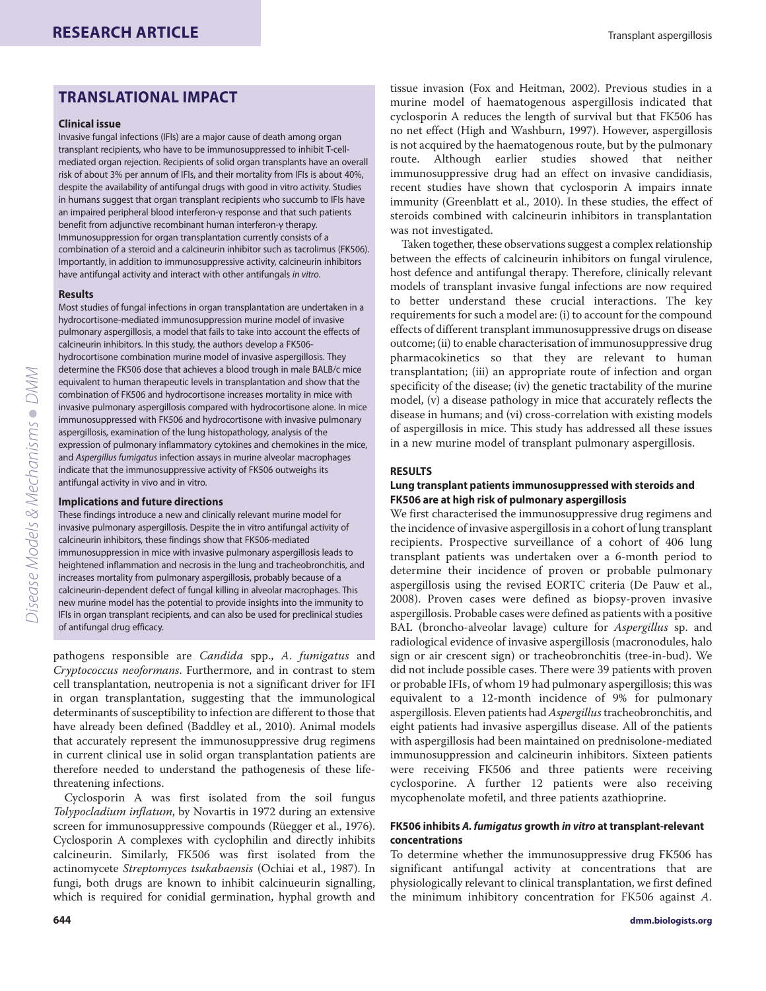# **TRANSLATIONAL IMPACT**

#### **Clinical issue**

Invasive fungal infections (IFIs) are a major cause of death among organ transplant recipients, who have to be immunosuppressed to inhibit T-cellmediated organ rejection. Recipients of solid organ transplants have an overall risk of about 3% per annum of IFIs, and their mortality from IFIs is about 40%, despite the availability of antifungal drugs with good in vitro activity. Studies in humans suggest that organ transplant recipients who succumb to IFIs have an impaired peripheral blood interferon-γ response and that such patients benefit from adjunctive recombinant human interferon-γ therapy. Immunosuppression for organ transplantation currently consists of a combination of a steroid and a calcineurin inhibitor such as tacrolimus (FK506). Importantly, in addition to immunosuppressive activity, calcineurin inhibitors have antifungal activity and interact with other antifungals in vitro.

#### **Results**

Most studies of fungal infections in organ transplantation are undertaken in a hydrocortisone-mediated immunosuppression murine model of invasive pulmonary aspergillosis, a model that fails to take into account the effects of calcineurin inhibitors. In this study, the authors develop a FK506 hydrocortisone combination murine model of invasive aspergillosis. They determine the FK506 dose that achieves a blood trough in male BALB/c mice equivalent to human therapeutic levels in transplantation and show that the combination of FK506 and hydrocortisone increases mortality in mice with invasive pulmonary aspergillosis compared with hydrocortisone alone. In mice immunosuppressed with FK506 and hydrocortisone with invasive pulmonary aspergillosis, examination of the lung histopathology, analysis of the expression of pulmonary inflammatory cytokines and chemokines in the mice, and Aspergillus fumigatus infection assays in murine alveolar macrophages indicate that the immunosuppressive activity of FK506 outweighs its antifungal activity in vivo and in vitro.

#### **Implications and future directions**

These findings introduce a new and clinically relevant murine model for invasive pulmonary aspergillosis. Despite the in vitro antifungal activity of calcineurin inhibitors, these findings show that FK506-mediated immunosuppression in mice with invasive pulmonary aspergillosis leads to heightened inflammation and necrosis in the lung and tracheobronchitis, and increases mortality from pulmonary aspergillosis, probably because of a calcineurin-dependent defect of fungal killing in alveolar macrophages. This new murine model has the potential to provide insights into the immunity to IFIs in organ transplant recipients, and can also be used for preclinical studies of antifungal drug efficacy.

pathogens responsible are *Candida* spp., *A. fumigatus* and *Cryptococcus neoformans*. Furthermore, and in contrast to stem cell transplantation, neutropenia is not a significant driver for IFI in organ transplantation, suggesting that the immunological determinants of susceptibility to infection are different to those that have already been defined (Baddley et al., 2010). Animal models that accurately represent the immunosuppressive drug regimens in current clinical use in solid organ transplantation patients are therefore needed to understand the pathogenesis of these lifethreatening infections.

Cyclosporin A was first isolated from the soil fungus *Tolypocladium inflatum*, by Novartis in 1972 during an extensive screen for immunosuppressive compounds (Rüegger et al., 1976). Cyclosporin A complexes with cyclophilin and directly inhibits calcineurin. Similarly, FK506 was first isolated from the actinomycete *Streptomyces tsukabaensis* (Ochiai et al., 1987). In fungi, both drugs are known to inhibit calcinueurin signalling, which is required for conidial germination, hyphal growth and

tissue invasion (Fox and Heitman, 2002). Previous studies in a murine model of haematogenous aspergillosis indicated that cyclosporin A reduces the length of survival but that FK506 has no net effect (High and Washburn, 1997). However, aspergillosis is not acquired by the haematogenous route, but by the pulmonary route. Although earlier studies showed that neither immunosuppressive drug had an effect on invasive candidiasis, recent studies have shown that cyclosporin A impairs innate immunity (Greenblatt et al., 2010). In these studies, the effect of steroids combined with calcineurin inhibitors in transplantation was not investigated.

Taken together, these observations suggest a complex relationship between the effects of calcineurin inhibitors on fungal virulence, host defence and antifungal therapy. Therefore, clinically relevant models of transplant invasive fungal infections are now required to better understand these crucial interactions. The key requirements for such a model are: (i) to account for the compound effects of different transplant immunosuppressive drugs on disease outcome; (ii) to enable characterisation of immunosuppressive drug pharmacokinetics so that they are relevant to human transplantation; (iii) an appropriate route of infection and organ specificity of the disease; (iv) the genetic tractability of the murine model, (v) a disease pathology in mice that accurately reflects the disease in humans; and (vi) cross-correlation with existing models of aspergillosis in mice. This study has addressed all these issues in a new murine model of transplant pulmonary aspergillosis.

# **RESULTS**

# **Lung transplant patients immunosuppressed with steroids and FK506 are at high risk of pulmonary aspergillosis**

We first characterised the immunosuppressive drug regimens and the incidence of invasive aspergillosis in a cohort of lung transplant recipients. Prospective surveillance of a cohort of 406 lung transplant patients was undertaken over a 6-month period to determine their incidence of proven or probable pulmonary aspergillosis using the revised EORTC criteria (De Pauw et al., 2008). Proven cases were defined as biopsy-proven invasive aspergillosis. Probable cases were defined as patients with a positive BAL (broncho-alveolar lavage) culture for *Aspergillus* sp. and radiological evidence of invasive aspergillosis (macronodules, halo sign or air crescent sign) or tracheobronchitis (tree-in-bud). We did not include possible cases. There were 39 patients with proven or probable IFIs, of whom 19 had pulmonary aspergillosis; this was equivalent to a 12-month incidence of 9% for pulmonary aspergillosis. Eleven patients had *Aspergillus*tracheobronchitis, and eight patients had invasive aspergillus disease. All of the patients with aspergillosis had been maintained on prednisolone-mediated immunosuppression and calcineurin inhibitors. Sixteen patients were receiving FK506 and three patients were receiving cyclosporine. A further 12 patients were also receiving mycophenolate mofetil, and three patients azathioprine.

# **FK506 inhibits** *A. fumigatus* **growth** *in vitro* **at transplant-relevant concentrations**

To determine whether the immunosuppressive drug FK506 has significant antifungal activity at concentrations that are physiologically relevant to clinical transplantation, we first defined the minimum inhibitory concentration for FK506 against *A.*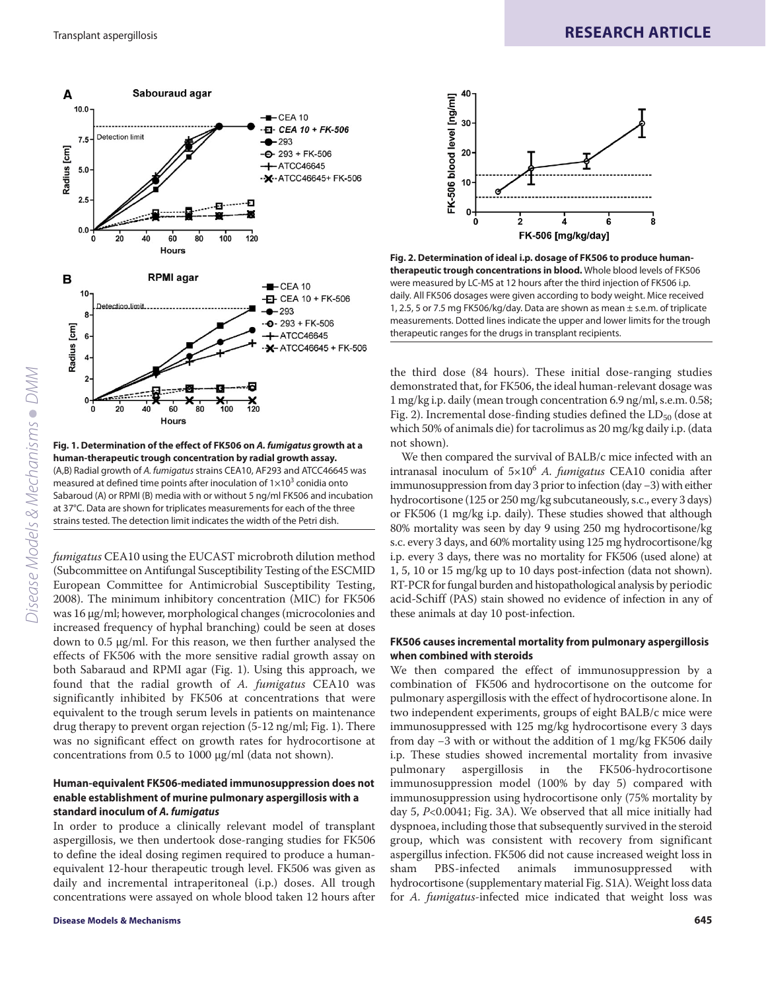

**Fig. 1. Determination of the effect of FK506 on** *A. fumigatus* **growth at a human-therapeutic trough concentration by radial growth assay.** (A,B) Radial growth of A. fumigatus strains CEA10, AF293 and ATCC46645 was measured at defined time points after inoculation of  $1\times10^3$  conidia onto Sabaroud (A) or RPMI (B) media with or without 5 ng/ml FK506 and incubation at 37°C. Data are shown for triplicates measurements for each of the three strains tested. The detection limit indicates the width of the Petri dish.

*fumigatus* CEA10 using the EUCAST microbroth dilution method (Subcommittee on Antifungal Susceptibility Testing of the ESCMID European Committee for Antimicrobial Susceptibility Testing, 2008). The minimum inhibitory concentration (MIC) for FK506 was 16 μg/ml; however, morphological changes (microcolonies and increased frequency of hyphal branching) could be seen at doses down to 0.5 μg/ml. For this reason, we then further analysed the effects of FK506 with the more sensitive radial growth assay on both Sabaraud and RPMI agar (Fig. 1). Using this approach, we found that the radial growth of *A. fumigatus* CEA10 was significantly inhibited by FK506 at concentrations that were equivalent to the trough serum levels in patients on maintenance drug therapy to prevent organ rejection (5-12 ng/ml; Fig. 1). There was no significant effect on growth rates for hydrocortisone at concentrations from 0.5 to 1000 μg/ml (data not shown).

# **Human-equivalent FK506-mediated immunosuppression does not enable establishment of murine pulmonary aspergillosis with a standard inoculum of** *A. fumigatus*

In order to produce a clinically relevant model of transplant aspergillosis, we then undertook dose-ranging studies for FK506 to define the ideal dosing regimen required to produce a humanequivalent 12-hour therapeutic trough level. FK506 was given as daily and incremental intraperitoneal (i.p.) doses. All trough concentrations were assayed on whole blood taken 12 hours after



**Fig. 2. Determination of ideal i.p. dosage of FK506 to produce humantherapeutic trough concentrations in blood.** Whole blood levels of FK506 were measured by LC-MS at 12 hours after the third injection of FK506 i.p. daily. All FK506 dosages were given according to body weight. Mice received 1, 2.5, 5 or 7.5 mg FK506/kg/day. Data are shown as mean ± s.e.m. of triplicate measurements. Dotted lines indicate the upper and lower limits for the trough therapeutic ranges for the drugs in transplant recipients.

the third dose (84 hours). These initial dose-ranging studies demonstrated that, for FK506, the ideal human-relevant dosage was 1 mg/kg i.p. daily (mean trough concentration 6.9 ng/ml, s.e.m. 0.58; Fig. 2). Incremental dose-finding studies defined the  $LD_{50}$  (dose at which 50% of animals die) for tacrolimus as 20 mg/kg daily i.p. (data not shown).

We then compared the survival of BALB/c mice infected with an intranasal inoculum of 5×106 *A. fumigatus* CEA10 conidia after immunosuppression from day 3 prior to infection (day −3) with either hydrocortisone (125 or 250 mg/kg subcutaneously, s.c., every 3 days) or FK506 (1 mg/kg i.p. daily). These studies showed that although 80% mortality was seen by day 9 using 250 mg hydrocortisone/kg s.c. every 3 days, and 60% mortality using 125 mg hydrocortisone/kg i.p. every 3 days, there was no mortality for FK506 (used alone) at 1, 5, 10 or 15 mg/kg up to 10 days post-infection (data not shown). RT-PCR for fungal burden and histopathological analysis by periodic acid-Schiff (PAS) stain showed no evidence of infection in any of these animals at day 10 post-infection.

#### **FK506 causes incremental mortality from pulmonary aspergillosis when combined with steroids**

We then compared the effect of immunosuppression by a combination of FK506 and hydrocortisone on the outcome for pulmonary aspergillosis with the effect of hydrocortisone alone. In two independent experiments, groups of eight BALB/c mice were immunosuppressed with 125 mg/kg hydrocortisone every 3 days from day −3 with or without the addition of 1 mg/kg FK506 daily i.p. These studies showed incremental mortality from invasive pulmonary aspergillosis in the FK506-hydrocortisone immunosuppression model (100% by day 5) compared with immunosuppression using hydrocortisone only (75% mortality by day 5, *P*<0.0041; Fig. 3A). We observed that all mice initially had dyspnoea, including those that subsequently survived in the steroid group, which was consistent with recovery from significant aspergillus infection. FK506 did not cause increased weight loss in sham PBS-infected animals immunosuppressed with hydrocortisone (supplementary material Fig. S1A). Weight loss data for *A. fumigatus*-infected mice indicated that weight loss was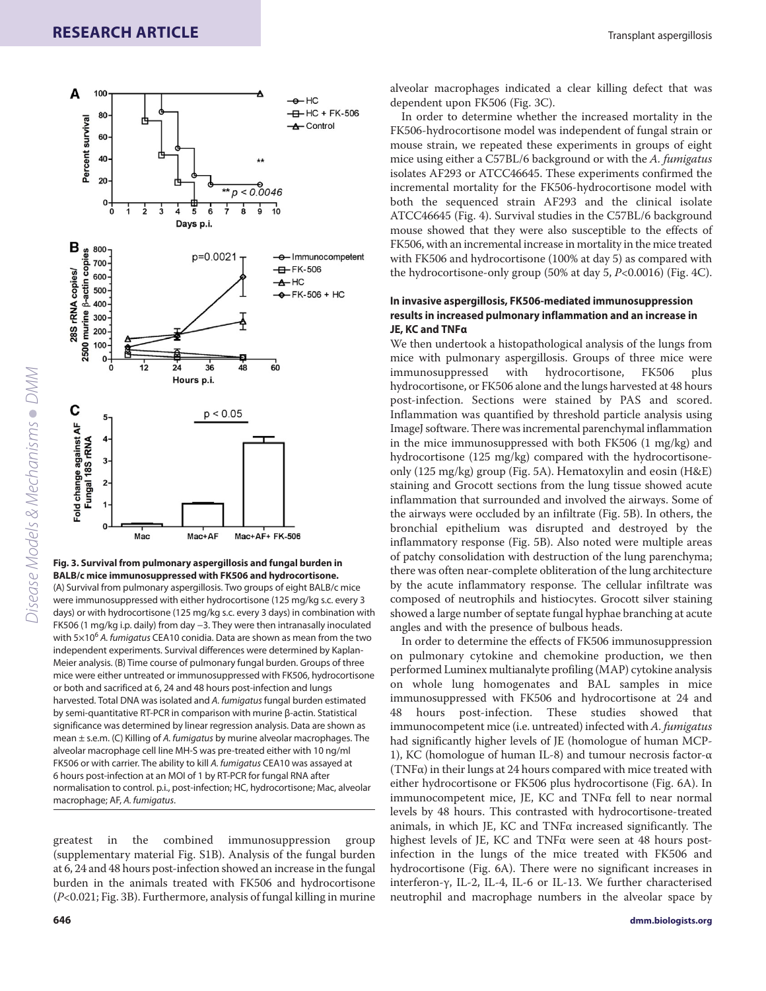A

100



**Fig. 3. Survival from pulmonary aspergillosis and fungal burden in BALB/c mice immunosuppressed with FK506 and hydrocortisone.** (A) Survival from pulmonary aspergillosis. Two groups of eight BALB/c mice were immunosuppressed with either hydrocortisone (125 mg/kg s.c. every 3 days) or with hydrocortisone (125 mg/kg s.c. every 3 days) in combination with FK506 (1 mg/kg i.p. daily) from day −3. They were then intranasally inoculated with  $5\times10^6$  A. fumigatus CEA10 conidia. Data are shown as mean from the two independent experiments. Survival differences were determined by Kaplan-Meier analysis. (B) Time course of pulmonary fungal burden. Groups of three mice were either untreated or immunosuppressed with FK506, hydrocortisone or both and sacrificed at 6, 24 and 48 hours post-infection and lungs harvested. Total DNA was isolated and A. fumigatus fungal burden estimated by semi-quantitative RT-PCR in comparison with murine β-actin. Statistical significance was determined by linear regression analysis. Data are shown as mean ± s.e.m. (C) Killing of A. fumigatus by murine alveolar macrophages. The alveolar macrophage cell line MH-S was pre-treated either with 10 ng/ml FK506 or with carrier. The ability to kill A. fumigatus CEA10 was assayed at 6 hours post-infection at an MOI of 1 by RT-PCR for fungal RNA after normalisation to control. p.i., post-infection; HC, hydrocortisone; Mac, alveolar macrophage; AF, A. fumigatus.

greatest in the combined immunosuppression group (supplementary material Fig. S1B). Analysis of the fungal burden at 6, 24 and 48 hours post-infection showed an increase in the fungal burden in the animals treated with FK506 and hydrocortisone (*P*<0.021; Fig. 3B). Furthermore, analysis of fungal killing in murine

dependent upon FK506 (Fig. 3C).  $-H-HC + FK-506$ 

 $-A$ -HC

In order to determine whether the increased mortality in the FK506-hydrocortisone model was independent of fungal strain or mouse strain, we repeated these experiments in groups of eight mice using either a C57BL/6 background or with the *A. fumigatus* isolates AF293 or ATCC46645. These experiments confirmed the incremental mortality for the FK506-hydrocortisone model with both the sequenced strain AF293 and the clinical isolate ATCC46645 (Fig. 4). Survival studies in the C57BL/6 background mouse showed that they were also susceptible to the effects of FK506, with an incremental increase in mortality in the mice treated with FK506 and hydrocortisone (100% at day 5) as compared with the hydrocortisone-only group (50% at day 5, *P*<0.0016) (Fig. 4C).

alveolar macrophages indicated a clear killing defect that was

# **In invasive aspergillosis, FK506-mediated immunosuppression results in increased pulmonary inflammation and an increase in JE, KC and TNFα**

We then undertook a histopathological analysis of the lungs from mice with pulmonary aspergillosis. Groups of three mice were immunosuppressed with hydrocortisone, FK506 plus hydrocortisone, or FK506 alone and the lungs harvested at 48 hours post-infection. Sections were stained by PAS and scored. Inflammation was quantified by threshold particle analysis using ImageJ software. There was incremental parenchymal inflammation in the mice immunosuppressed with both FK506 (1 mg/kg) and hydrocortisone (125 mg/kg) compared with the hydrocortisoneonly (125 mg/kg) group (Fig. 5A). Hematoxylin and eosin (H&E) staining and Grocott sections from the lung tissue showed acute inflammation that surrounded and involved the airways. Some of the airways were occluded by an infiltrate (Fig. 5B). In others, the bronchial epithelium was disrupted and destroyed by the inflammatory response (Fig. 5B). Also noted were multiple areas of patchy consolidation with destruction of the lung parenchyma; there was often near-complete obliteration of the lung architecture by the acute inflammatory response. The cellular infiltrate was composed of neutrophils and histiocytes. Grocott silver staining showed a large number of septate fungal hyphae branching at acute angles and with the presence of bulbous heads.

In order to determine the effects of FK506 immunosuppression on pulmonary cytokine and chemokine production, we then performed Luminex multianalyte profiling (MAP) cytokine analysis on whole lung homogenates and BAL samples in mice immunosuppressed with FK506 and hydrocortisone at 24 and 48 hours post-infection. These studies showed that immunocompetent mice (i.e. untreated) infected with *A. fumigatus* had significantly higher levels of JE (homologue of human MCP-1), KC (homologue of human IL-8) and tumour necrosis factor-α (TNF $\alpha$ ) in their lungs at 24 hours compared with mice treated with either hydrocortisone or FK506 plus hydrocortisone (Fig. 6A). In immunocompetent mice, JE, KC and TNFα fell to near normal levels by 48 hours. This contrasted with hydrocortisone-treated animals, in which JE, KC and TNFα increased significantly. The highest levels of JE, KC and TNFα were seen at 48 hours postinfection in the lungs of the mice treated with FK506 and hydrocortisone (Fig. 6A). There were no significant increases in interferon-γ, IL-2, IL-4, IL-6 or IL-13. We further characterised neutrophil and macrophage numbers in the alveolar space by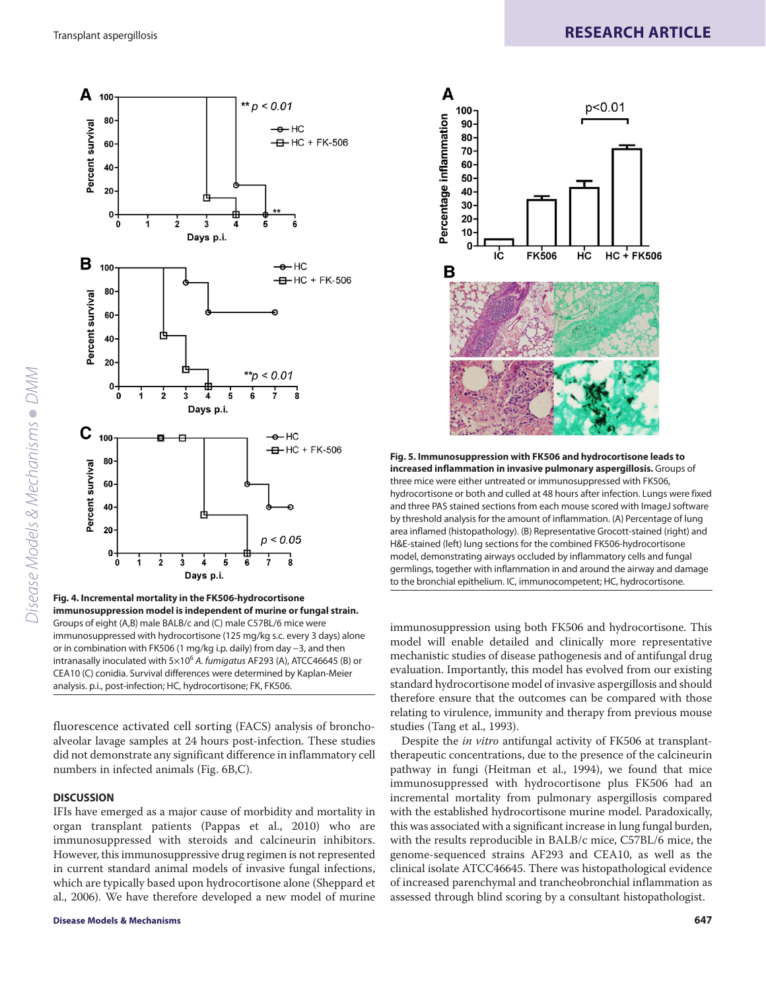



**Fig. 4. Incremental mortality in the FK506-hydrocortisone immunosuppression model is independent of murine or fungal strain.** Groups of eight (A,B) male BALB/c and (C) male C57BL/6 mice were immunosuppressed with hydrocortisone (125 mg/kg s.c. every 3 days) alone or in combination with FK506 (1 mg/kg i.p. daily) from day −3, and then intranasally inoculated with  $5\times10^6$  A. fumigatus AF293 (A), ATCC46645 (B) or CEA10 (C) conidia. Survival differences were determined by Kaplan-Meier analysis. p.i., post-infection; HC, hydrocortisone; FK, FK506.

fluorescence activated cell sorting (FACS) analysis of bronchoalveolar lavage samples at 24 hours post-infection. These studies did not demonstrate any significant difference in inflammatory cell numbers in infected animals (Fig. 6B,C).

# **DISCUSSION**

IFIs have emerged as a major cause of morbidity and mortality in organ transplant patients (Pappas et al., 2010) who are immunosuppressed with steroids and calcineurin inhibitors. However, this immunosuppressive drug regimen is not represented in current standard animal models of invasive fungal infections, which are typically based upon hydrocortisone alone (Sheppard et al., 2006). We have therefore developed a new model of murine



**Fig. 5. Immunosuppression with FK506 and hydrocortisone leads to increased inflammation in invasive pulmonary aspergillosis.** Groups of three mice were either untreated or immunosuppressed with FK506, hydrocortisone or both and culled at 48 hours after infection. Lungs were fixed and three PAS stained sections from each mouse scored with ImageJ software by threshold analysis for the amount of inflammation. (A) Percentage of lung area inflamed (histopathology). (B) Representative Grocott-stained (right) and H&E-stained (left) lung sections for the combined FK506-hydrocortisone model, demonstrating airways occluded by inflammatory cells and fungal germlings, together with inflammation in and around the airway and damage to the bronchial epithelium. IC, immunocompetent; HC, hydrocortisone.

immunosuppression using both FK506 and hydrocortisone. This model will enable detailed and clinically more representative mechanistic studies of disease pathogenesis and of antifungal drug evaluation. Importantly, this model has evolved from our existing standard hydrocortisone model of invasive aspergillosis and should therefore ensure that the outcomes can be compared with those relating to virulence, immunity and therapy from previous mouse studies (Tang et al., 1993).

Despite the *in vitro* antifungal activity of FK506 at transplanttherapeutic concentrations, due to the presence of the calcineurin pathway in fungi (Heitman et al., 1994), we found that mice immunosuppressed with hydrocortisone plus FK506 had an incremental mortality from pulmonary aspergillosis compared with the established hydrocortisone murine model. Paradoxically, this was associated with a significant increase in lung fungal burden, with the results reproducible in BALB/c mice, C57BL/6 mice, the genome-sequenced strains AF293 and CEA10, as well as the clinical isolate ATCC46645. There was histopathological evidence of increased parenchymal and trancheobronchial inflammation as assessed through blind scoring by a consultant histopathologist.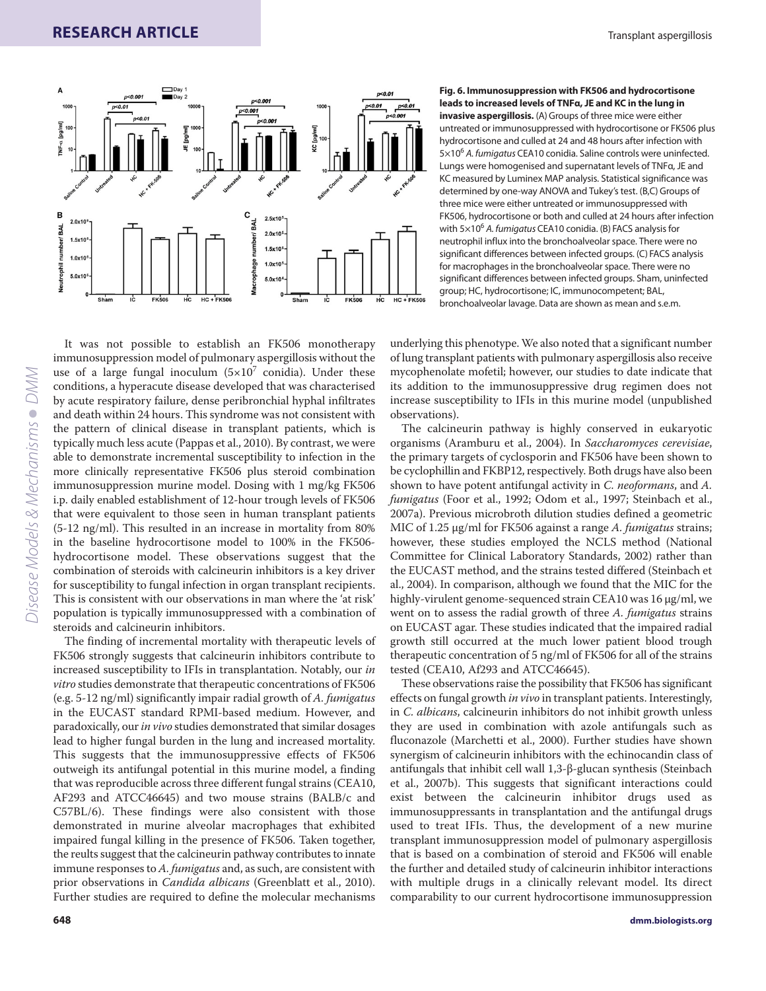

**Fig. 6. Immunosuppression with FK506 and hydrocortisone leads to increased levels of TNFα, JE and KC in the lung in invasive aspergillosis.** (A) Groups of three mice were either untreated or immunosuppressed with hydrocortisone or FK506 plus hydrocortisone and culled at 24 and 48 hours after infection with  $5\times10^6$  A. fumigatus CEA10 conidia. Saline controls were uninfected. Lungs were homogenised and supernatant levels of TNFα, JE and KC measured by Luminex MAP analysis. Statistical significance was determined by one-way ANOVA and Tukey's test. (B,C) Groups of three mice were either untreated or immunosuppressed with FK506, hydrocortisone or both and culled at 24 hours after infection with  $5\times10^6$  A. fumigatus CEA10 conidia. (B) FACS analysis for neutrophil influx into the bronchoalveolar space. There were no significant differences between infected groups. (C) FACS analysis for macrophages in the bronchoalveolar space. There were no significant differences between infected groups. Sham, uninfected group; HC, hydrocortisone; IC, immunocompetent; BAL, bronchoalveolar lavage. Data are shown as mean and s.e.m.

Disease Models & Mechanisms • DMM *Disease Models & Mechanisms DMM*

It was not possible to establish an FK506 monotherapy immunosuppression model of pulmonary aspergillosis without the use of a large fungal inoculum  $(5\times10^7 \text{ conidia})$ . Under these conditions, a hyperacute disease developed that was characterised by acute respiratory failure, dense peribronchial hyphal infiltrates and death within 24 hours. This syndrome was not consistent with the pattern of clinical disease in transplant patients, which is typically much less acute (Pappas et al., 2010). By contrast, we were able to demonstrate incremental susceptibility to infection in the more clinically representative FK506 plus steroid combination immunosuppression murine model. Dosing with 1 mg/kg FK506 i.p. daily enabled establishment of 12-hour trough levels of FK506 that were equivalent to those seen in human transplant patients (5-12 ng/ml). This resulted in an increase in mortality from 80% in the baseline hydrocortisone model to 100% in the FK506 hydrocortisone model. These observations suggest that the combination of steroids with calcineurin inhibitors is a key driver for susceptibility to fungal infection in organ transplant recipients. This is consistent with our observations in man where the 'at risk' population is typically immunosuppressed with a combination of steroids and calcineurin inhibitors.

The finding of incremental mortality with therapeutic levels of FK506 strongly suggests that calcineurin inhibitors contribute to increased susceptibility to IFIs in transplantation. Notably, our *in vitro* studies demonstrate that therapeutic concentrations of FK506 (e.g. 5-12 ng/ml) significantly impair radial growth of *A. fumigatus* in the EUCAST standard RPMI-based medium. However, and paradoxically, our *in vivo* studies demonstrated that similar dosages lead to higher fungal burden in the lung and increased mortality. This suggests that the immunosuppressive effects of FK506 outweigh its antifungal potential in this murine model, a finding that was reproducible across three different fungal strains (CEA10, AF293 and ATCC46645) and two mouse strains (BALB/c and C57BL/6). These findings were also consistent with those demonstrated in murine alveolar macrophages that exhibited impaired fungal killing in the presence of FK506. Taken together, the reults suggest that the calcineurin pathway contributes to innate immune responses to *A. fumigatus* and, as such, are consistent with prior observations in *Candida albicans* (Greenblatt et al., 2010). Further studies are required to define the molecular mechanisms

underlying this phenotype. We also noted that a significant number of lung transplant patients with pulmonary aspergillosis also receive mycophenolate mofetil; however, our studies to date indicate that its addition to the immunosuppressive drug regimen does not increase susceptibility to IFIs in this murine model (unpublished observations).

The calcineurin pathway is highly conserved in eukaryotic organisms (Aramburu et al., 2004). In *Saccharomyces cerevisiae*, the primary targets of cyclosporin and FK506 have been shown to be cyclophillin and FKBP12, respectively. Both drugs have also been shown to have potent antifungal activity in *C. neoformans*, and *A. fumigatus* (Foor et al., 1992; Odom et al., 1997; Steinbach et al., 2007a). Previous microbroth dilution studies defined a geometric MIC of 1.25 μg/ml for FK506 against a range *A. fumigatus* strains; however, these studies employed the NCLS method (National Committee for Clinical Laboratory Standards, 2002) rather than the EUCAST method, and the strains tested differed (Steinbach et al., 2004). In comparison, although we found that the MIC for the highly-virulent genome-sequenced strain CEA10 was 16 μg/ml, we went on to assess the radial growth of three *A. fumigatus* strains on EUCAST agar. These studies indicated that the impaired radial growth still occurred at the much lower patient blood trough therapeutic concentration of 5 ng/ml of FK506 for all of the strains tested (CEA10, Af293 and ATCC46645).

These observations raise the possibility that FK506 has significant effects on fungal growth *in vivo* in transplant patients. Interestingly, in *C. albicans*, calcineurin inhibitors do not inhibit growth unless they are used in combination with azole antifungals such as fluconazole (Marchetti et al., 2000). Further studies have shown synergism of calcineurin inhibitors with the echinocandin class of antifungals that inhibit cell wall 1,3-β-glucan synthesis (Steinbach et al., 2007b). This suggests that significant interactions could exist between the calcineurin inhibitor drugs used as immunosuppressants in transplantation and the antifungal drugs used to treat IFIs. Thus, the development of a new murine transplant immunosuppression model of pulmonary aspergillosis that is based on a combination of steroid and FK506 will enable the further and detailed study of calcineurin inhibitor interactions with multiple drugs in a clinically relevant model. Its direct comparability to our current hydrocortisone immunosuppression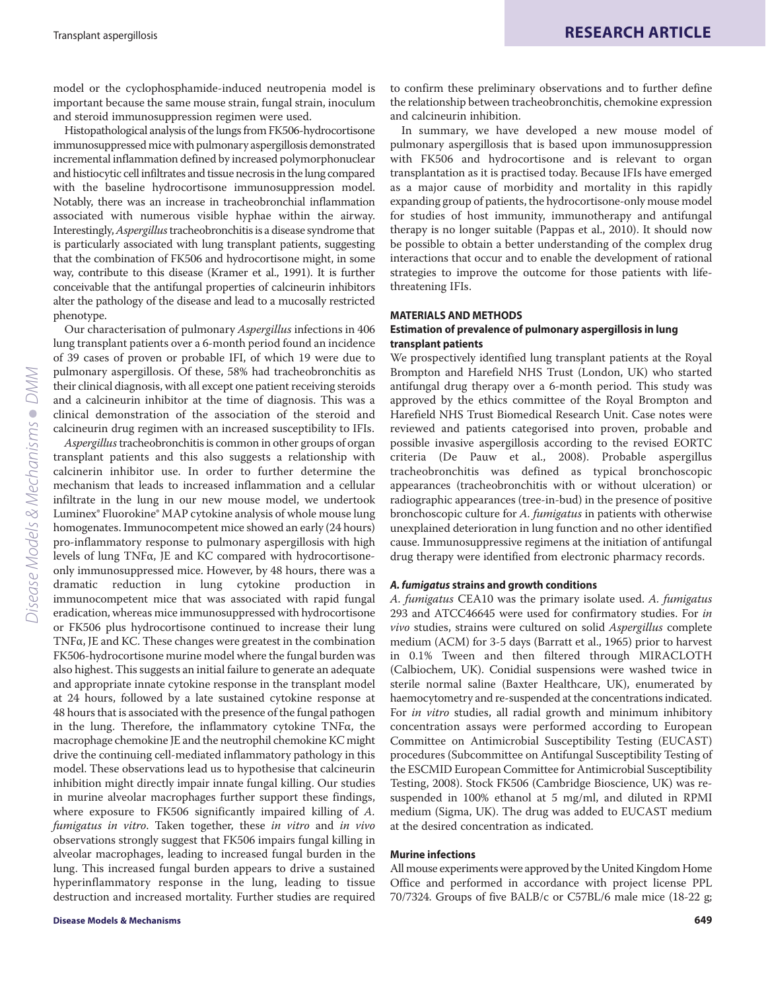model or the cyclophosphamide-induced neutropenia model is important because the same mouse strain, fungal strain, inoculum and steroid immunosuppression regimen were used.

Histopathological analysis of the lungs from FK506-hydrocortisone immunosuppressed mice with pulmonary aspergillosis demonstrated incremental inflammation defined by increased polymorphonuclear and histiocytic cell infiltrates and tissue necrosis in the lung compared with the baseline hydrocortisone immunosuppression model. Notably, there was an increase in tracheobronchial inflammation associated with numerous visible hyphae within the airway. Interestingly, *Aspergillus*tracheobronchitis is a disease syndrome that is particularly associated with lung transplant patients, suggesting that the combination of FK506 and hydrocortisone might, in some way, contribute to this disease (Kramer et al., 1991). It is further conceivable that the antifungal properties of calcineurin inhibitors alter the pathology of the disease and lead to a mucosally restricted phenotype.

Our characterisation of pulmonary *Aspergillus* infections in 406 lung transplant patients over a 6-month period found an incidence of 39 cases of proven or probable IFI, of which 19 were due to pulmonary aspergillosis. Of these, 58% had tracheobronchitis as their clinical diagnosis, with all except one patient receiving steroids and a calcineurin inhibitor at the time of diagnosis. This was a clinical demonstration of the association of the steroid and calcineurin drug regimen with an increased susceptibility to IFIs.

*Aspergillus*tracheobronchitis is common in other groups of organ transplant patients and this also suggests a relationship with calcinerin inhibitor use. In order to further determine the mechanism that leads to increased inflammation and a cellular infiltrate in the lung in our new mouse model, we undertook Luminex® Fluorokine® MAP cytokine analysis of whole mouse lung homogenates. Immunocompetent mice showed an early (24 hours) pro-inflammatory response to pulmonary aspergillosis with high levels of lung TNFα, JE and KC compared with hydrocortisoneonly immunosuppressed mice. However, by 48 hours, there was a dramatic reduction in lung cytokine production in immunocompetent mice that was associated with rapid fungal eradication, whereas mice immunosuppressed with hydrocortisone or FK506 plus hydrocortisone continued to increase their lung TNFα, JE and KC. These changes were greatest in the combination FK506-hydrocortisone murine model where the fungal burden was also highest. This suggests an initial failure to generate an adequate and appropriate innate cytokine response in the transplant model at 24 hours, followed by a late sustained cytokine response at 48 hours that is associated with the presence of the fungal pathogen in the lung. Therefore, the inflammatory cytokine TNFα, the macrophage chemokine JE and the neutrophil chemokine KC might drive the continuing cell-mediated inflammatory pathology in this model. These observations lead us to hypothesise that calcineurin inhibition might directly impair innate fungal killing. Our studies in murine alveolar macrophages further support these findings, where exposure to FK506 significantly impaired killing of *A. fumigatus in vitro*. Taken together, these *in vitro* and *in vivo* observations strongly suggest that FK506 impairs fungal killing in alveolar macrophages, leading to increased fungal burden in the lung. This increased fungal burden appears to drive a sustained hyperinflammatory response in the lung, leading to tissue destruction and increased mortality. Further studies are required to confirm these preliminary observations and to further define the relationship between tracheobronchitis, chemokine expression and calcineurin inhibition.

In summary, we have developed a new mouse model of pulmonary aspergillosis that is based upon immunosuppression with FK506 and hydrocortisone and is relevant to organ transplantation as it is practised today. Because IFIs have emerged as a major cause of morbidity and mortality in this rapidly expanding group of patients, the hydrocortisone-only mouse model for studies of host immunity, immunotherapy and antifungal therapy is no longer suitable (Pappas et al., 2010). It should now be possible to obtain a better understanding of the complex drug interactions that occur and to enable the development of rational strategies to improve the outcome for those patients with lifethreatening IFIs.

# **MATERIALS AND METHODS**

#### **Estimation of prevalence of pulmonary aspergillosis in lung transplant patients**

We prospectively identified lung transplant patients at the Royal Brompton and Harefield NHS Trust (London, UK) who started antifungal drug therapy over a 6-month period. This study was approved by the ethics committee of the Royal Brompton and Harefield NHS Trust Biomedical Research Unit. Case notes were reviewed and patients categorised into proven, probable and possible invasive aspergillosis according to the revised EORTC criteria (De Pauw et al., 2008). Probable aspergillus tracheobronchitis was defined as typical bronchoscopic appearances (tracheobronchitis with or without ulceration) or radiographic appearances (tree-in-bud) in the presence of positive bronchoscopic culture for *A. fumigatus* in patients with otherwise unexplained deterioration in lung function and no other identified cause. Immunosuppressive regimens at the initiation of antifungal drug therapy were identified from electronic pharmacy records.

#### *A. fumigatus* **strains and growth conditions**

*A. fumigatus* CEA10 was the primary isolate used. *A. fumigatus* 293 and ATCC46645 were used for confirmatory studies. For *in vivo* studies, strains were cultured on solid *Aspergillus* complete medium (ACM) for 3-5 days (Barratt et al., 1965) prior to harvest in 0.1% Tween and then filtered through MIRACLOTH (Calbiochem, UK). Conidial suspensions were washed twice in sterile normal saline (Baxter Healthcare, UK), enumerated by haemocytometry and re-suspended at the concentrations indicated. For *in vitro* studies, all radial growth and minimum inhibitory concentration assays were performed according to European Committee on Antimicrobial Susceptibility Testing (EUCAST) procedures (Subcommittee on Antifungal Susceptibility Testing of the ESCMID European Committee for Antimicrobial Susceptibility Testing, 2008). Stock FK506 (Cambridge Bioscience, UK) was resuspended in 100% ethanol at 5 mg/ml, and diluted in RPMI medium (Sigma, UK). The drug was added to EUCAST medium at the desired concentration as indicated.

#### **Murine infections**

All mouse experiments were approved by the United Kingdom Home Office and performed in accordance with project license PPL 70/7324. Groups of five BALB/c or C57BL/6 male mice (18-22 g;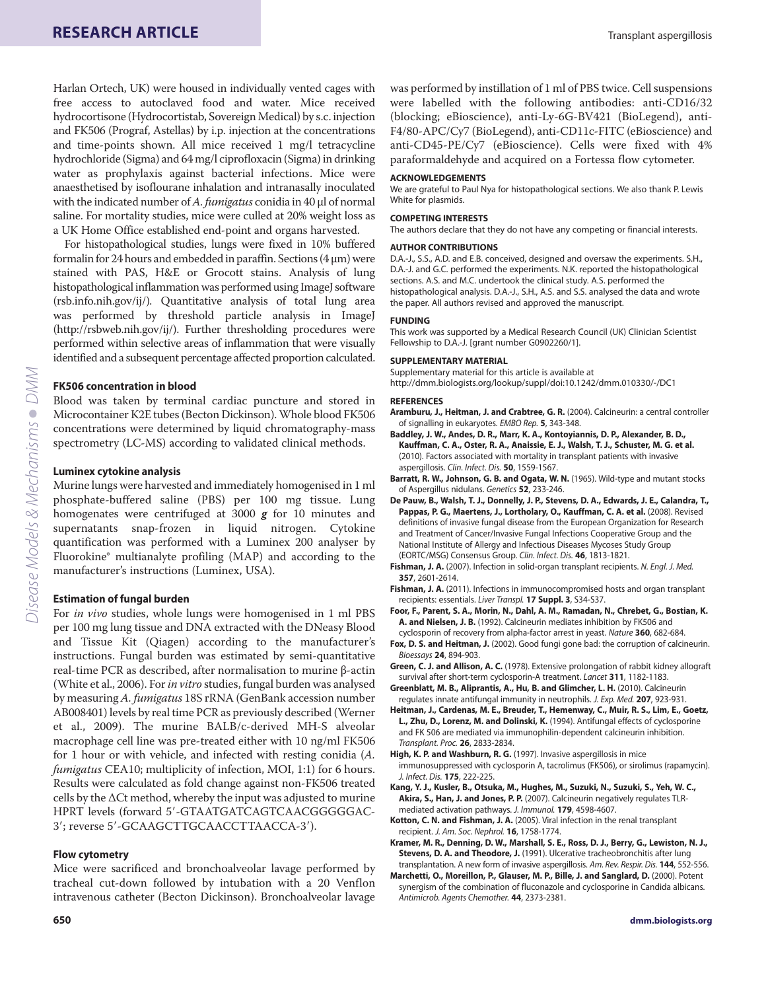Harlan Ortech, UK) were housed in individually vented cages with free access to autoclaved food and water. Mice received hydrocortisone (Hydrocortistab, Sovereign Medical) by s.c. injection and FK506 (Prograf, Astellas) by i.p. injection at the concentrations and time-points shown. All mice received 1 mg/l tetracycline hydrochloride (Sigma) and 64 mg/l ciprofloxacin (Sigma) in drinking water as prophylaxis against bacterial infections. Mice were anaesthetised by isoflourane inhalation and intranasally inoculated with the indicated number of *A. fumigatus* conidia in 40 μl of normal saline. For mortality studies, mice were culled at 20% weight loss as a UK Home Office established end-point and organs harvested.

For histopathological studies, lungs were fixed in 10% buffered formalin for 24 hours and embedded in paraffin. Sections (4 μm) were stained with PAS, H&E or Grocott stains. Analysis of lung histopathological inflammation was performed using ImageJ software (rsb.info.nih.gov/ij/)*.* Quantitative analysis of total lung area was performed by threshold particle analysis in ImageJ (http://rsbweb.nih.gov/ij/). Further thresholding procedures were performed within selective areas of inflammation that were visually identified and a subsequent percentage affected proportion calculated.

# **FK506 concentration in blood**

Blood was taken by terminal cardiac puncture and stored in Microcontainer K2E tubes (Becton Dickinson). Whole blood FK506 concentrations were determined by liquid chromatography-mass spectrometry (LC-MS) according to validated clinical methods.

# **Luminex cytokine analysis**

Murine lungs were harvested and immediately homogenised in 1 ml phosphate-buffered saline (PBS) per 100 mg tissue. Lung homogenates were centrifuged at 3000 *g* for 10 minutes and supernatants snap-frozen in liquid nitrogen. Cytokine quantification was performed with a Luminex 200 analyser by Fluorokine® multianalyte profiling (MAP) and according to the manufacturer's instructions (Luminex, USA).

# **Estimation of fungal burden**

For *in vivo* studies, whole lungs were homogenised in 1 ml PBS per 100 mg lung tissue and DNA extracted with the DNeasy Blood and Tissue Kit (Qiagen) according to the manufacturer's instructions. Fungal burden was estimated by semi-quantitative real-time PCR as described, after normalisation to murine β-actin (White et al., 2006). For *in vitro* studies, fungal burden was analysed by measuring *A. fumigatus* 18S rRNA (GenBank accession number AB008401) levels by real time PCR as previously described (Werner et al., 2009). The murine BALB/c-derived MH-S alveolar macrophage cell line was pre-treated either with 10 ng/ml FK506 for 1 hour or with vehicle, and infected with resting conidia (*A. fumigatus* CEA10; multiplicity of infection, MOI, 1:1) for 6 hours. Results were calculated as fold change against non-FK506 treated cells by the ΔCt method, whereby the input was adjusted to murine HPRT levels (forward 5--GTAATGATCAGTCAACGGGGGAC-3'; reverse 5'-GCAAGCTTGCAACCTTAACCA-3').

# **Flow cytometry**

Mice were sacrificed and bronchoalveolar lavage performed by tracheal cut-down followed by intubation with a 20 Venflon intravenous catheter (Becton Dickinson). Bronchoalveolar lavage

was performed by instillation of 1 ml of PBS twice. Cell suspensions were labelled with the following antibodies: anti-CD16/32 (blocking; eBioscience), anti-Ly-6G-BV421 (BioLegend), anti-F4/80-APC/Cy7 (BioLegend), anti-CD11c-FITC (eBioscience) and anti-CD45-PE/Cy7 (eBioscience). Cells were fixed with 4% paraformaldehyde and acquired on a Fortessa flow cytometer.

#### **ACKNOWLEDGEMENTS**

We are grateful to Paul Nya for histopathological sections. We also thank P. Lewis White for plasmids.

#### **COMPETING INTERESTS**

The authors declare that they do not have any competing or financial interests.

#### **AUTHOR CONTRIBUTIONS**

D.A.-J., S.S., A.D. and E.B. conceived, designed and oversaw the experiments. S.H., D.A.-J. and G.C. performed the experiments. N.K. reported the histopathological sections. A.S. and M.C. undertook the clinical study. A.S. performed the histopathological analysis. D.A.-J., S.H., A.S. and S.S. analysed the data and wrote the paper. All authors revised and approved the manuscript.

#### **FUNDING**

This work was supported by a Medical Research Council (UK) Clinician Scientist Fellowship to D.A.-J. [grant number G0902260/1].

# **SUPPLEMENTARY MATERIAL**

Supplementary material for this article is available at http://dmm.biologists.org/lookup/suppl/doi:10.1242/dmm.010330/-/DC1

#### **REFERENCES**

- **Aramburu, J., Heitman, J. and Crabtree, G. R.** (2004). Calcineurin: a central controller of signalling in eukaryotes. EMBO Rep. **5**, 343-348.
- **Baddley, J. W., Andes, D. R., Marr, K. A., Kontoyiannis, D. P., Alexander, B. D., Kauffman, C. A., Oster, R. A., Anaissie, E. J., Walsh, T. J., Schuster, M. G. et al.** (2010). Factors associated with mortality in transplant patients with invasive aspergillosis. Clin. Infect. Dis. **50**, 1559-1567.
- **Barratt, R. W., Johnson, G. B. and Ogata, W. N.** (1965). Wild-type and mutant stocks of Aspergillus nidulans. Genetics **52**, 233-246.
- **De Pauw, B., Walsh, T. J., Donnelly, J. P., Stevens, D. A., Edwards, J. E., Calandra, T., Pappas, P. G., Maertens, J., Lortholary, O., Kauffman, C. A. et al.** (2008). Revised definitions of invasive fungal disease from the European Organization for Research and Treatment of Cancer/Invasive Fungal Infections Cooperative Group and the National Institute of Allergy and Infectious Diseases Mycoses Study Group (EORTC/MSG) Consensus Group. Clin. Infect. Dis. **46**, 1813-1821.
- Fishman, J. A. (2007). Infection in solid-organ transplant recipients. N. Engl. J. Med. **357**, 2601-2614.
- **Fishman, J. A.** (2011). Infections in immunocompromised hosts and organ transplant recipients: essentials. Liver Transpl. **17 Suppl. 3**, S34-S37.
- **Foor, F., Parent, S. A., Morin, N., Dahl, A. M., Ramadan, N., Chrebet, G., Bostian, K. A. and Nielsen, J. B.** (1992). Calcineurin mediates inhibition by FK506 and cyclosporin of recovery from alpha-factor arrest in yeast. Nature **360**, 682-684.
- **Fox, D. S. and Heitman, J.** (2002). Good fungi gone bad: the corruption of calcineurin. Bioessays **24**, 894-903.
- **Green, C. J. and Allison, A. C.** (1978). Extensive prolongation of rabbit kidney allograft survival after short-term cyclosporin-A treatment. Lancet **311**, 1182-1183.
- **Greenblatt, M. B., Aliprantis, A., Hu, B. and Glimcher, L. H.** (2010). Calcineurin regulates innate antifungal immunity in neutrophils. J. Exp. Med. **207**, 923-931.
- **Heitman, J., Cardenas, M. E., Breuder, T., Hemenway, C., Muir, R. S., Lim, E., Goetz, L., Zhu, D., Lorenz, M. and Dolinski, K.** (1994). Antifungal effects of cyclosporine and FK 506 are mediated via immunophilin-dependent calcineurin inhibition. Transplant. Proc. **26**, 2833-2834.
- **High, K. P. and Washburn, R. G.** (1997). Invasive aspergillosis in mice immunosuppressed with cyclosporin A, tacrolimus (FK506), or sirolimus (rapamycin). J. Infect. Dis. **175**, 222-225.
- **Kang, Y. J., Kusler, B., Otsuka, M., Hughes, M., Suzuki, N., Suzuki, S., Yeh, W. C., Akira, S., Han, J. and Jones, P. P.** (2007). Calcineurin negatively regulates TLRmediated activation pathways. J. Immunol. **179**, 4598-4607.
- **Kotton, C. N. and Fishman, J. A.** (2005). Viral infection in the renal transplant recipient. J. Am. Soc. Nephrol. **16**, 1758-1774.
- **Kramer, M. R., Denning, D. W., Marshall, S. E., Ross, D. J., Berry, G., Lewiston, N. J., Stevens, D. A. and Theodore, J.** (1991). Ulcerative tracheobronchitis after lung transplantation. A new form of invasive aspergillosis. Am. Rev. Respir. Dis. **144**, 552-556.
- **Marchetti, O., Moreillon, P., Glauser, M. P., Bille, J. and Sanglard, D.** (2000). Potent synergism of the combination of fluconazole and cyclosporine in Candida albicans. Antimicrob. Agents Chemother. **44**, 2373-2381.